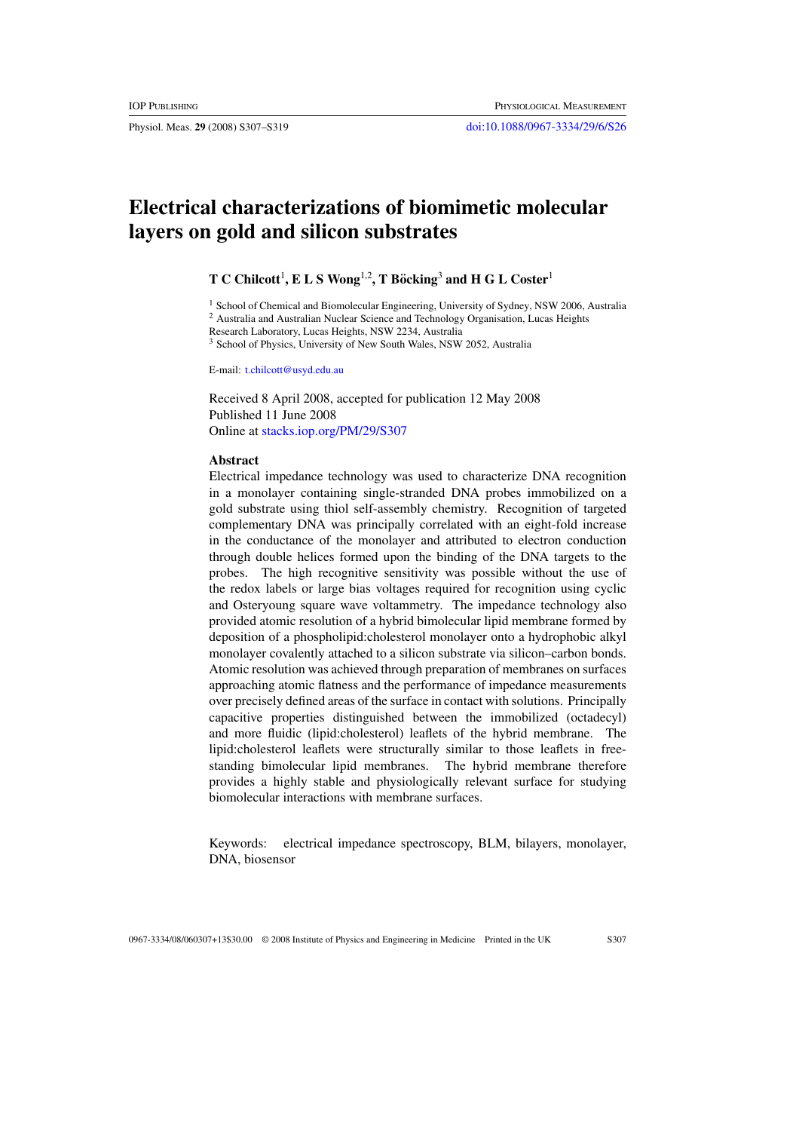# **Electrical characterizations of biomimetic molecular layers on gold and silicon substrates**

 $\mathbf{T} \gets \mathbf{Children}^{1}$ ,  $\mathbf{E} \mathbf{L} \mathbf{S}$   $\mathbf{Wong}^{1,2}$ ,  $\mathbf{T}$   $\mathbf{Böcking}^{3}$  and  $\mathbf{H} \times \mathbf{L}$   $\mathbf{Coster}^{1,2}$ 

<sup>1</sup> School of Chemical and Biomolecular Engineering, University of Sydney, NSW 2006, Australia

<sup>2</sup> Australia and Australian Nuclear Science and Technology Organisation, Lucas Heights

Research Laboratory, Lucas Heights, NSW 2234, Australia

<sup>3</sup> School of Physics, University of New South Wales, NSW 2052, Australia

E-mail: [t.chilcott@usyd.edu.au](mailto:t.chilcott@usyd.edu.au)

Received 8 April 2008, accepted for publication 12 May 2008 Published 11 June 2008 Online at [stacks.iop.org/PM/29/S307](http://stacks.iop.org/PM/29/S307)

# **Abstract**

Electrical impedance technology was used to characterize DNA recognition in a monolayer containing single-stranded DNA probes immobilized on a gold substrate using thiol self-assembly chemistry. Recognition of targeted complementary DNA was principally correlated with an eight-fold increase in the conductance of the monolayer and attributed to electron conduction through double helices formed upon the binding of the DNA targets to the probes. The high recognitive sensitivity was possible without the use of the redox labels or large bias voltages required for recognition using cyclic and Osteryoung square wave voltammetry. The impedance technology also provided atomic resolution of a hybrid bimolecular lipid membrane formed by deposition of a phospholipid:cholesterol monolayer onto a hydrophobic alkyl monolayer covalently attached to a silicon substrate via silicon–carbon bonds. Atomic resolution was achieved through preparation of membranes on surfaces approaching atomic flatness and the performance of impedance measurements over precisely defined areas of the surface in contact with solutions. Principally capacitive properties distinguished between the immobilized (octadecyl) and more fluidic (lipid:cholesterol) leaflets of the hybrid membrane. The lipid:cholesterol leaflets were structurally similar to those leaflets in freestanding bimolecular lipid membranes. The hybrid membrane therefore provides a highly stable and physiologically relevant surface for studying biomolecular interactions with membrane surfaces.

Keywords: electrical impedance spectroscopy, BLM, bilayers, monolayer, DNA, biosensor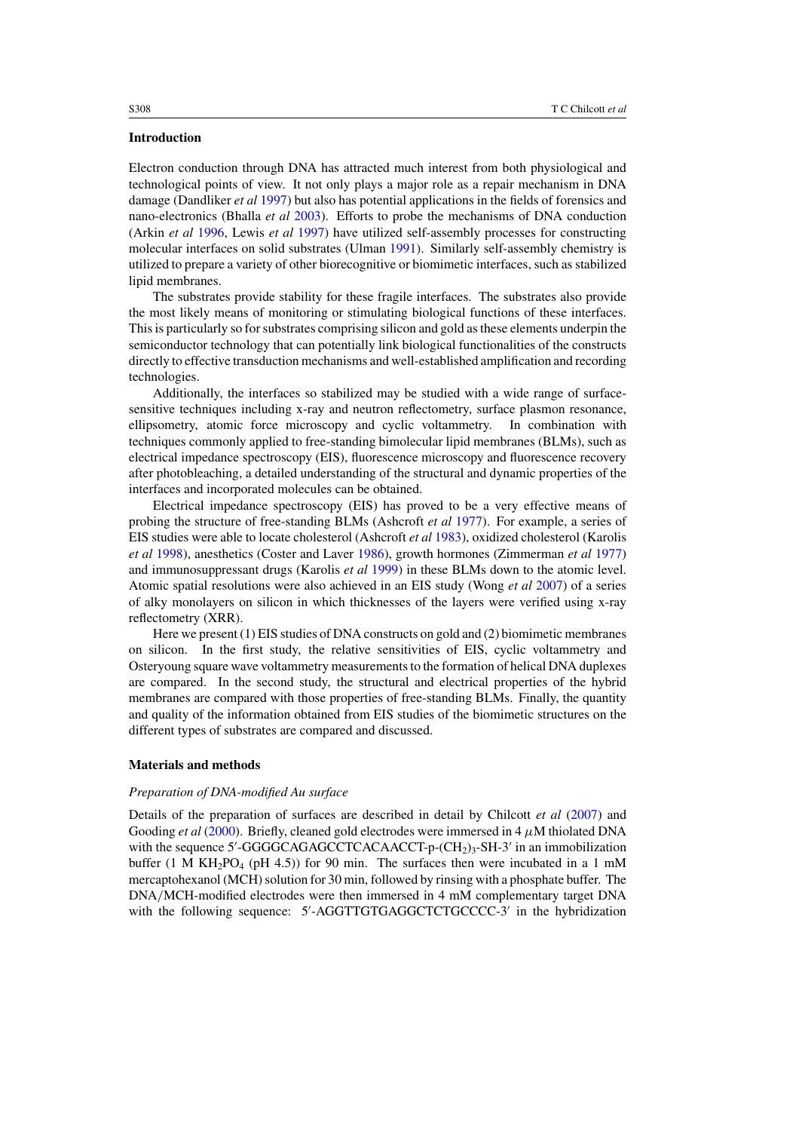# **Introduction**

Electron conduction through DNA has attracted much interest from both physiological and technological points of view. It not only plays a major role as a repair mechanism in DNA damage (Dandliker *et al* [1997\)](#page-12-0) but also has potential applications in the fields of forensics and nano-electronics (Bhalla *et al* [2003](#page-11-0)). Efforts to probe the mechanisms of DNA conduction (Arkin *et al* [1996](#page-11-0), Lewis *et al* [1997\)](#page-12-0) have utilized self-assembly processes for constructing molecular interfaces on solid substrates (Ulman [1991](#page-12-0)). Similarly self-assembly chemistry is utilized to prepare a variety of other biorecognitive or biomimetic interfaces, such as stabilized lipid membranes.

The substrates provide stability for these fragile interfaces. The substrates also provide the most likely means of monitoring or stimulating biological functions of these interfaces. This is particularly so for substrates comprising silicon and gold as these elements underpin the semiconductor technology that can potentially link biological functionalities of the constructs directly to effective transduction mechanisms and well-established amplification and recording technologies.

Additionally, the interfaces so stabilized may be studied with a wide range of surfacesensitive techniques including x-ray and neutron reflectometry, surface plasmon resonance, ellipsometry, atomic force microscopy and cyclic voltammetry. In combination with techniques commonly applied to free-standing bimolecular lipid membranes (BLMs), such as electrical impedance spectroscopy (EIS), fluorescence microscopy and fluorescence recovery after photobleaching, a detailed understanding of the structural and dynamic properties of the interfaces and incorporated molecules can be obtained.

Electrical impedance spectroscopy (EIS) has proved to be a very effective means of probing the structure of free-standing BLMs (Ashcroft *et al* [1977](#page-11-0)). For example, a series of EIS studies were able to locate cholesterol (Ashcroft *et al* [1983\)](#page-11-0), oxidized cholesterol (Karolis *et al* [1998](#page-12-0)), anesthetics (Coster and Laver [1986](#page-11-0)), growth hormones (Zimmerman *et al* [1977](#page-12-0)) and immunosuppressant drugs (Karolis *et al* [1999\)](#page-12-0) in these BLMs down to the atomic level. Atomic spatial resolutions were also achieved in an EIS study (Wong *et al* [2007](#page-12-0)) of a series of alky monolayers on silicon in which thicknesses of the layers were verified using x-ray reflectometry (XRR).

Here we present (1) EIS studies of DNA constructs on gold and (2) biomimetic membranes on silicon. In the first study, the relative sensitivities of EIS, cyclic voltammetry and Osteryoung square wave voltammetry measurements to the formation of helical DNA duplexes are compared. In the second study, the structural and electrical properties of the hybrid membranes are compared with those properties of free-standing BLMs. Finally, the quantity and quality of the information obtained from EIS studies of the biomimetic structures on the different types of substrates are compared and discussed.

#### **Materials and methods**

#### *Preparation of DNA-modified Au surface*

Details of the preparation of surfaces are described in detail by Chilcott *et al* [\(2007](#page-11-0)) and Gooding *et al* [\(2000](#page-12-0)). Briefly, cleaned gold electrodes were immersed in 4  $\mu$ M thiolated DNA with the sequence 5'-GGGGCAGAGCCTCACAACCT-p- $(CH_2)_3$ -SH-3' in an immobilization buffer (1 M KH<sub>2</sub>PO<sub>4</sub> (pH 4.5)) for 90 min. The surfaces then were incubated in a 1 mM mercaptohexanol (MCH) solution for 30 min, followed by rinsing with a phosphate buffer. The DNA*/*MCH-modified electrodes were then immersed in 4 mM complementary target DNA with the following sequence: 5'-AGGTTGTGAGGCTCTGCCCC-3' in the hybridization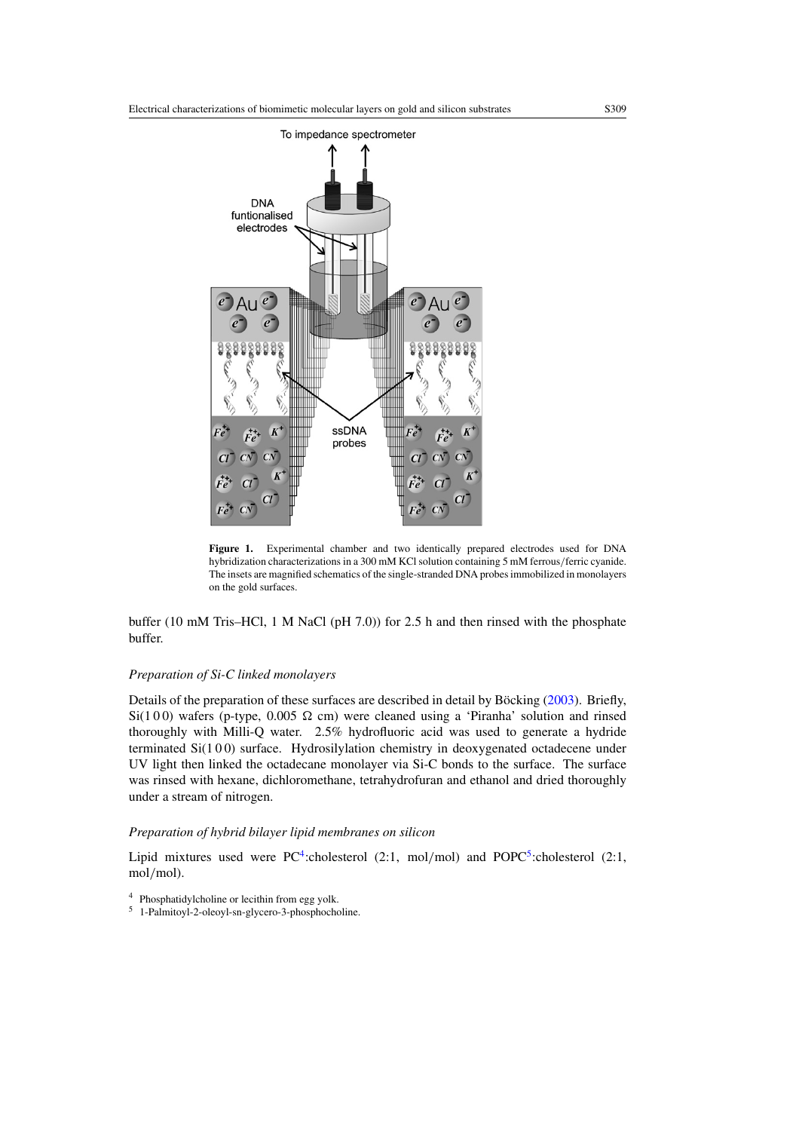<span id="page-2-0"></span>

**Figure 1.** Experimental chamber and two identically prepared electrodes used for DNA hybridization characterizations in a 300 mM KCl solution containing 5 mM ferrous*/*ferric cyanide. The insets are magnified schematics of the single-stranded DNA probes immobilized in monolayers on the gold surfaces.

buffer (10 mM Tris–HCl, 1 M NaCl (pH 7.0)) for 2.5 h and then rinsed with the phosphate buffer.

# *Preparation of Si-C linked monolayers*

Details of the preparation of these surfaces are described in detail by Böcking  $(2003)$  $(2003)$ . Briefly,  $Si(100)$  wafers (p-type, 0.005  $\Omega$  cm) were cleaned using a 'Piranha' solution and rinsed thoroughly with Milli-Q water. 2.5% hydrofluoric acid was used to generate a hydride terminated Si(100) surface. Hydrosilylation chemistry in deoxygenated octadecene under UV light then linked the octadecane monolayer via Si-C bonds to the surface. The surface was rinsed with hexane, dichloromethane, tetrahydrofuran and ethanol and dried thoroughly under a stream of nitrogen.

# *Preparation of hybrid bilayer lipid membranes on silicon*

Lipid mixtures used were PC<sup>4</sup>:cholesterol  $(2:1, \text{ mol/mol})$  and POPC<sup>5</sup>:cholesterol  $(2:1, \text{ mol/mol})$ mol*/*mol).

<sup>5</sup> 1-Palmitoyl-2-oleoyl-sn-glycero-3-phosphocholine.

<sup>4</sup> Phosphatidylcholine or lecithin from egg yolk.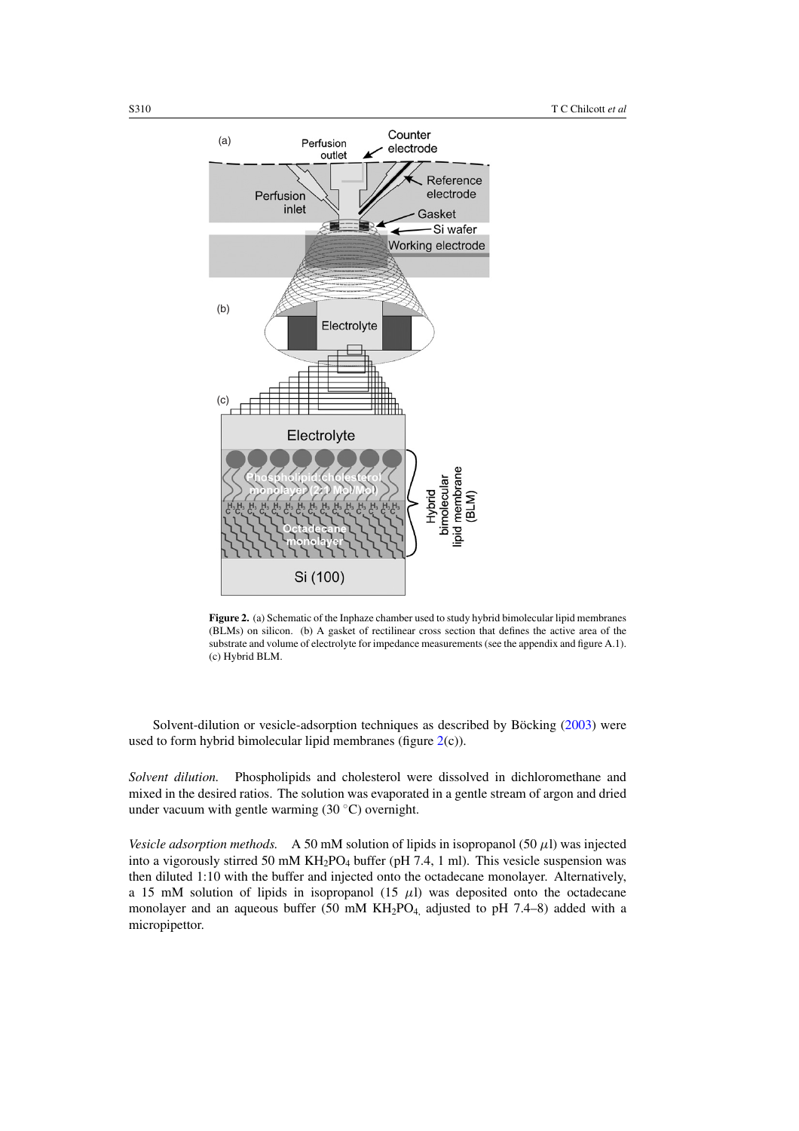<span id="page-3-0"></span>

**Figure 2.** (a) Schematic of the Inphaze chamber used to study hybrid bimolecular lipid membranes (BLMs) on silicon. (b) A gasket of rectilinear cross section that defines the active area of the substrate and volume of electrolyte for impedance measurements (see the appendix and figure A.1). (c) Hybrid BLM.

Solvent-dilution or vesicle-adsorption techniques as described by Böcking  $(2003)$  $(2003)$  were used to form hybrid bimolecular lipid membranes (figure 2(c)).

*Solvent dilution.* Phospholipids and cholesterol were dissolved in dichloromethane and mixed in the desired ratios. The solution was evaporated in a gentle stream of argon and dried under vacuum with gentle warming  $(30 °C)$  overnight.

*Vesicle adsorption methods.* A 50 mM solution of lipids in isopropanol (50  $\mu$ l) was injected into a vigorously stirred 50 mM  $KH_2PO_4$  buffer (pH 7.4, 1 ml). This vesicle suspension was then diluted 1:10 with the buffer and injected onto the octadecane monolayer. Alternatively, a 15 mM solution of lipids in isopropanol  $(15 \mu l)$  was deposited onto the octadecane monolayer and an aqueous buffer (50 mM KH<sub>2</sub>PO<sub>4,</sub> adjusted to pH 7.4–8) added with a micropipettor.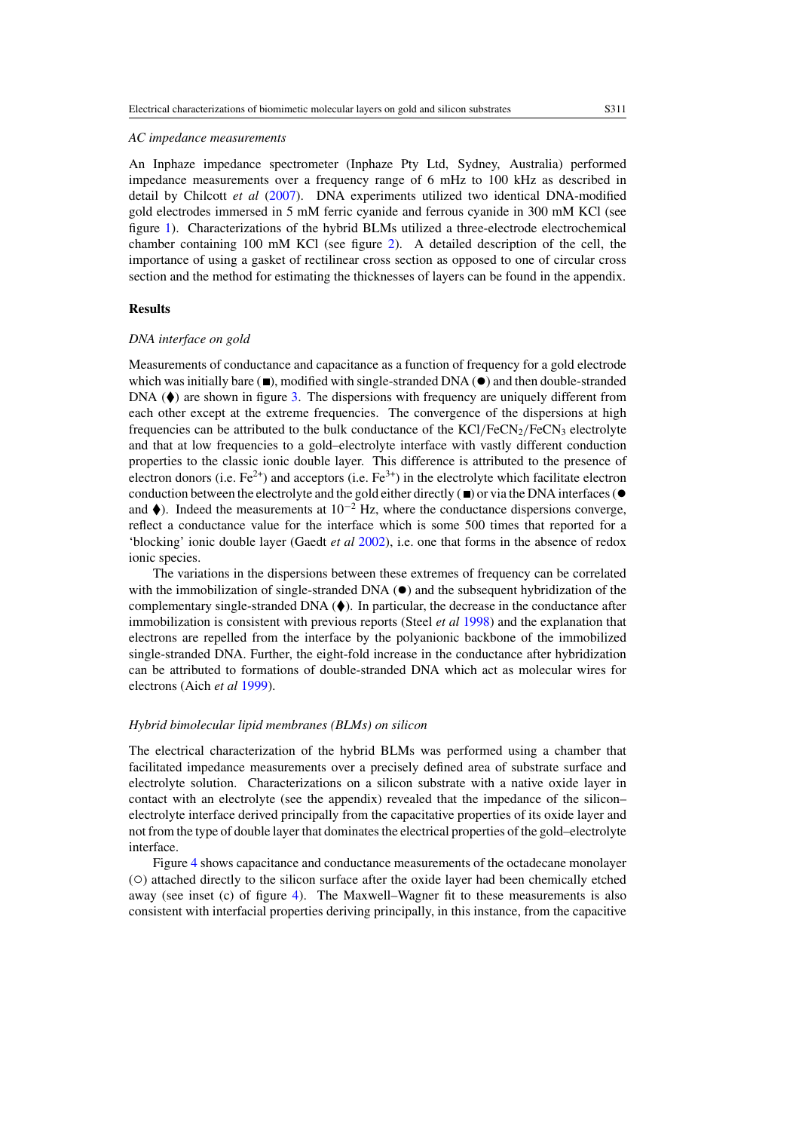#### *AC impedance measurements*

An Inphaze impedance spectrometer (Inphaze Pty Ltd, Sydney, Australia) performed impedance measurements over a frequency range of 6 mHz to 100 kHz as described in detail by Chilcott *et al* [\(2007](#page-11-0)). DNA experiments utilized two identical DNA-modified gold electrodes immersed in 5 mM ferric cyanide and ferrous cyanide in 300 mM KCl (see figure [1\)](#page-2-0). Characterizations of the hybrid BLMs utilized a three-electrode electrochemical chamber containing 100 mM KCl (see figure [2\)](#page-3-0). A detailed description of the cell, the importance of using a gasket of rectilinear cross section as opposed to one of circular cross section and the method for estimating the thicknesses of layers can be found in the appendix.

# **Results**

#### *DNA interface on gold*

Measurements of conductance and capacitance as a function of frequency for a gold electrode which was initially bare ( $\blacksquare$ ), modified with single-stranded DNA ( $\blacklozenge$ ) and then double-stranded DNA  $(\blacklozenge)$  are shown in figure [3.](#page-5-0) The dispersions with frequency are uniquely different from each other except at the extreme frequencies. The convergence of the dispersions at high frequencies can be attributed to the bulk conductance of the  $KCI/FeCN<sub>2</sub>/FeCN<sub>3</sub>$  electrolyte and that at low frequencies to a gold–electrolyte interface with vastly different conduction properties to the classic ionic double layer. This difference is attributed to the presence of electron donors (i.e.  $Fe^{2+}$ ) and acceptors (i.e.  $Fe^{3+}$ ) in the electrolyte which facilitate electron conduction between the electrolyte and the gold either directly  $(\blacksquare)$  or via the DNA interfaces ( $\lozenge$ and  $\blacklozenge$ ). Indeed the measurements at 10<sup>-2</sup> Hz, where the conductance dispersions converge, reflect a conductance value for the interface which is some 500 times that reported for a 'blocking' ionic double layer (Gaedt *et al* [2002\)](#page-12-0), i.e. one that forms in the absence of redox ionic species.

The variations in the dispersions between these extremes of frequency can be correlated with the immobilization of single-stranded DNA  $\odot$  and the subsequent hybridization of the complementary single-stranded DNA  $(\blacklozenge)$ . In particular, the decrease in the conductance after immobilization is consistent with previous reports (Steel *et al* [1998\)](#page-12-0) and the explanation that electrons are repelled from the interface by the polyanionic backbone of the immobilized single-stranded DNA. Further, the eight-fold increase in the conductance after hybridization can be attributed to formations of double-stranded DNA which act as molecular wires for electrons (Aich *et al* [1999](#page-11-0)).

#### *Hybrid bimolecular lipid membranes (BLMs) on silicon*

The electrical characterization of the hybrid BLMs was performed using a chamber that facilitated impedance measurements over a precisely defined area of substrate surface and electrolyte solution. Characterizations on a silicon substrate with a native oxide layer in contact with an electrolyte (see the appendix) revealed that the impedance of the silicon– electrolyte interface derived principally from the capacitative properties of its oxide layer and not from the type of double layer that dominates the electrical properties of the gold–electrolyte interface.

Figure [4](#page-6-0) shows capacitance and conductance measurements of the octadecane monolayer (◦) attached directly to the silicon surface after the oxide layer had been chemically etched away (see inset (c) of figure [4\)](#page-6-0). The Maxwell–Wagner fit to these measurements is also consistent with interfacial properties deriving principally, in this instance, from the capacitive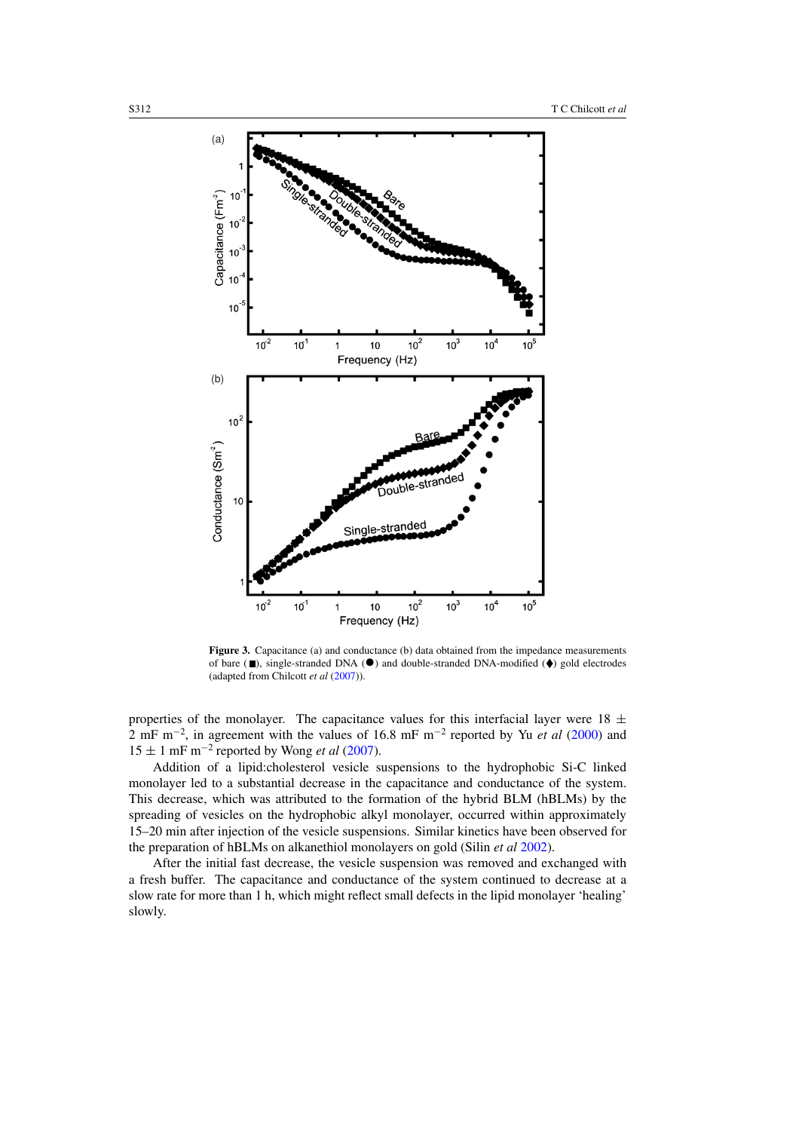<span id="page-5-0"></span>

Figure 3. Capacitance (a) and conductance (b) data obtained from the impedance measurements of bare  $(\blacksquare)$ , single-stranded DNA  $(\lozenge)$  and double-stranded DNA-modified  $(\lozenge)$  gold electrodes (adapted from Chilcott *et al* [\(2007\)](#page-11-0)).

properties of the monolayer. The capacitance values for this interfacial layer were  $18 \pm$ 2 mF m−<sup>2</sup> , in agreement with the values of 16.8 mF m−<sup>2</sup> reported by Yu *et al* [\(2000](#page-12-0)) and  $15 \pm 1$  mF m<sup>-2</sup> reported by Wong *et al* [\(2007](#page-12-0)).

Addition of a lipid:cholesterol vesicle suspensions to the hydrophobic Si-C linked monolayer led to a substantial decrease in the capacitance and conductance of the system. This decrease, which was attributed to the formation of the hybrid BLM (hBLMs) by the spreading of vesicles on the hydrophobic alkyl monolayer, occurred within approximately 15–20 min after injection of the vesicle suspensions. Similar kinetics have been observed for the preparation of hBLMs on alkanethiol monolayers on gold (Silin *et al* [2002\)](#page-12-0).

After the initial fast decrease, the vesicle suspension was removed and exchanged with a fresh buffer. The capacitance and conductance of the system continued to decrease at a slow rate for more than 1 h, which might reflect small defects in the lipid monolayer 'healing' slowly.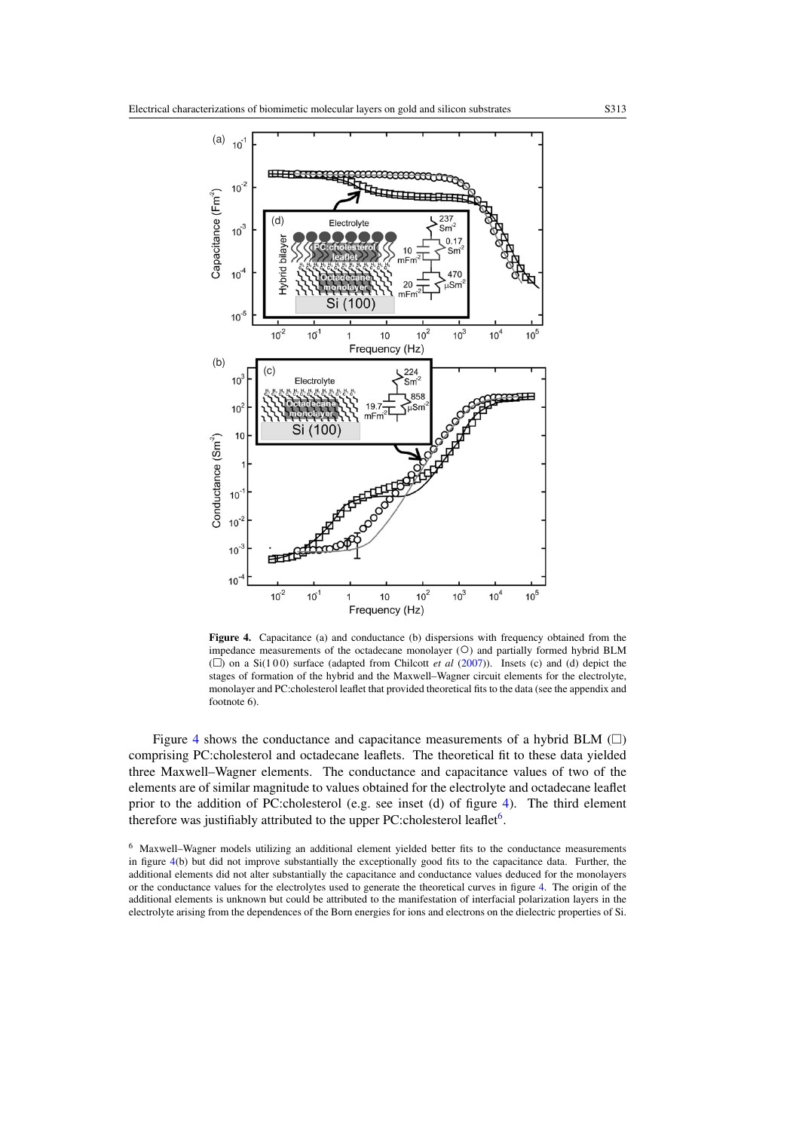<span id="page-6-0"></span>

Figure 4. Capacitance (a) and conductance (b) dispersions with frequency obtained from the impedance measurements of the octadecane monolayer (○) and partially formed hybrid BLM  $(\Box)$  on a Si(100) surface (adapted from Chilcott *et al* [\(2007\)](#page-11-0)). Insets (c) and (d) depict the stages of formation of the hybrid and the Maxwell–Wagner circuit elements for the electrolyte, monolayer and PC:cholesterol leaflet that provided theoretical fits to the data (see the appendix and footnote 6).

Figure 4 shows the conductance and capacitance measurements of a hybrid BLM  $(\Box)$ comprising PC:cholesterol and octadecane leaflets. The theoretical fit to these data yielded three Maxwell–Wagner elements. The conductance and capacitance values of two of the elements are of similar magnitude to values obtained for the electrolyte and octadecane leaflet prior to the addition of PC:cholesterol (e.g. see inset (d) of figure 4). The third element therefore was justifiably attributed to the upper PC:cholesterol leaflet<sup>6</sup>.

<sup>6</sup> Maxwell–Wagner models utilizing an additional element yielded better fits to the conductance measurements in figure 4(b) but did not improve substantially the exceptionally good fits to the capacitance data. Further, the additional elements did not alter substantially the capacitance and conductance values deduced for the monolayers or the conductance values for the electrolytes used to generate the theoretical curves in figure 4. The origin of the additional elements is unknown but could be attributed to the manifestation of interfacial polarization layers in the electrolyte arising from the dependences of the Born energies for ions and electrons on the dielectric properties of Si.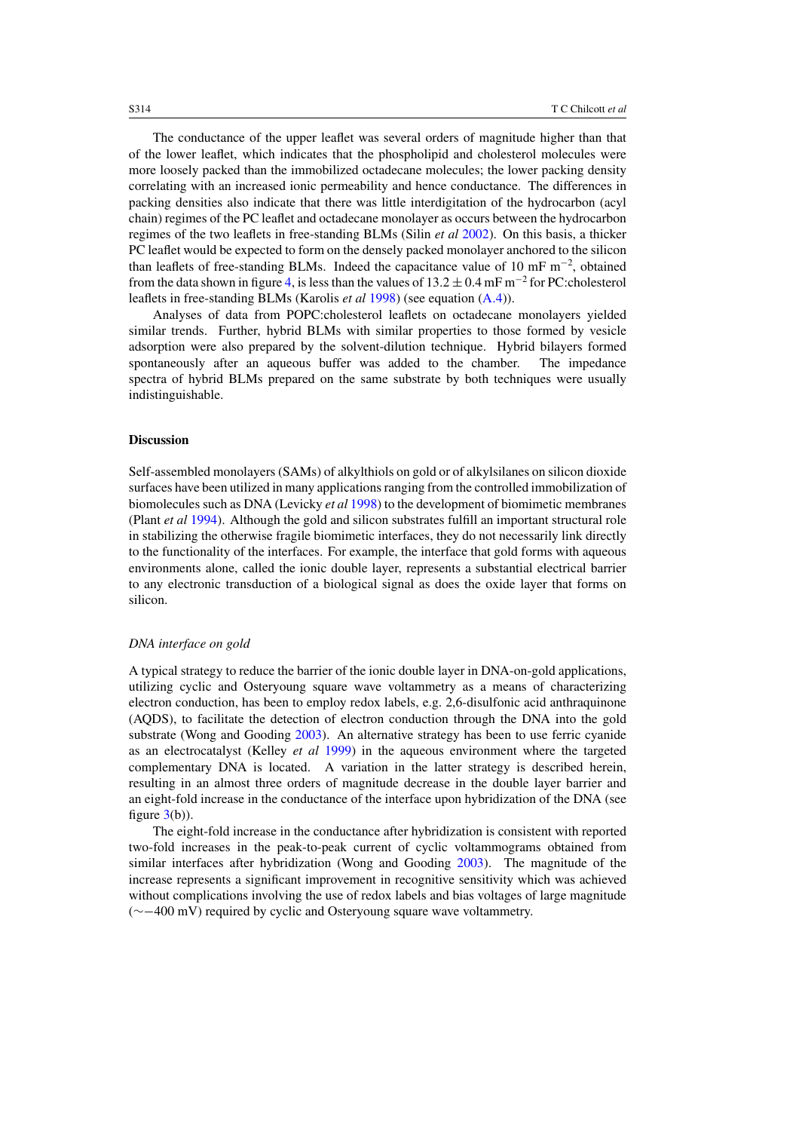The conductance of the upper leaflet was several orders of magnitude higher than that of the lower leaflet, which indicates that the phospholipid and cholesterol molecules were more loosely packed than the immobilized octadecane molecules; the lower packing density correlating with an increased ionic permeability and hence conductance. The differences in packing densities also indicate that there was little interdigitation of the hydrocarbon (acyl chain) regimes of the PC leaflet and octadecane monolayer as occurs between the hydrocarbon regimes of the two leaflets in free-standing BLMs (Silin *et al* [2002](#page-12-0)). On this basis, a thicker PC leaflet would be expected to form on the densely packed monolayer anchored to the silicon than leaflets of free-standing BLMs. Indeed the capacitance value of 10 mF  $m^{-2}$ , obtained from the data shown in figure [4,](#page-6-0) is less than the values of  $13.2 \pm 0.4$  mF m<sup>-2</sup> for PC:cholesterol leaflets in free-standing BLMs (Karolis *et al* [1998\)](#page-12-0) (see equation [\(A](#page-10-0)*.*4)).

Analyses of data from POPC:cholesterol leaflets on octadecane monolayers yielded similar trends. Further, hybrid BLMs with similar properties to those formed by vesicle adsorption were also prepared by the solvent-dilution technique. Hybrid bilayers formed spontaneously after an aqueous buffer was added to the chamber. The impedance spectra of hybrid BLMs prepared on the same substrate by both techniques were usually indistinguishable.

# **Discussion**

Self-assembled monolayers (SAMs) of alkylthiols on gold or of alkylsilanes on silicon dioxide surfaces have been utilized in many applications ranging from the controlled immobilization of biomolecules such as DNA (Levicky *et al* [1998\)](#page-12-0) to the development of biomimetic membranes (Plant *et al* [1994\)](#page-12-0). Although the gold and silicon substrates fulfill an important structural role in stabilizing the otherwise fragile biomimetic interfaces, they do not necessarily link directly to the functionality of the interfaces. For example, the interface that gold forms with aqueous environments alone, called the ionic double layer, represents a substantial electrical barrier to any electronic transduction of a biological signal as does the oxide layer that forms on silicon.

## *DNA interface on gold*

A typical strategy to reduce the barrier of the ionic double layer in DNA-on-gold applications, utilizing cyclic and Osteryoung square wave voltammetry as a means of characterizing electron conduction, has been to employ redox labels, e.g. 2,6-disulfonic acid anthraquinone (AQDS), to facilitate the detection of electron conduction through the DNA into the gold substrate (Wong and Gooding [2003\)](#page-12-0). An alternative strategy has been to use ferric cyanide as an electrocatalyst (Kelley *et al* [1999\)](#page-12-0) in the aqueous environment where the targeted complementary DNA is located. A variation in the latter strategy is described herein, resulting in an almost three orders of magnitude decrease in the double layer barrier and an eight-fold increase in the conductance of the interface upon hybridization of the DNA (see figure  $3(b)$  $3(b)$ ).

The eight-fold increase in the conductance after hybridization is consistent with reported two-fold increases in the peak-to-peak current of cyclic voltammograms obtained from similar interfaces after hybridization (Wong and Gooding [2003](#page-12-0)). The magnitude of the increase represents a significant improvement in recognitive sensitivity which was achieved without complications involving the use of redox labels and bias voltages of large magnitude (∼−400 mV) required by cyclic and Osteryoung square wave voltammetry.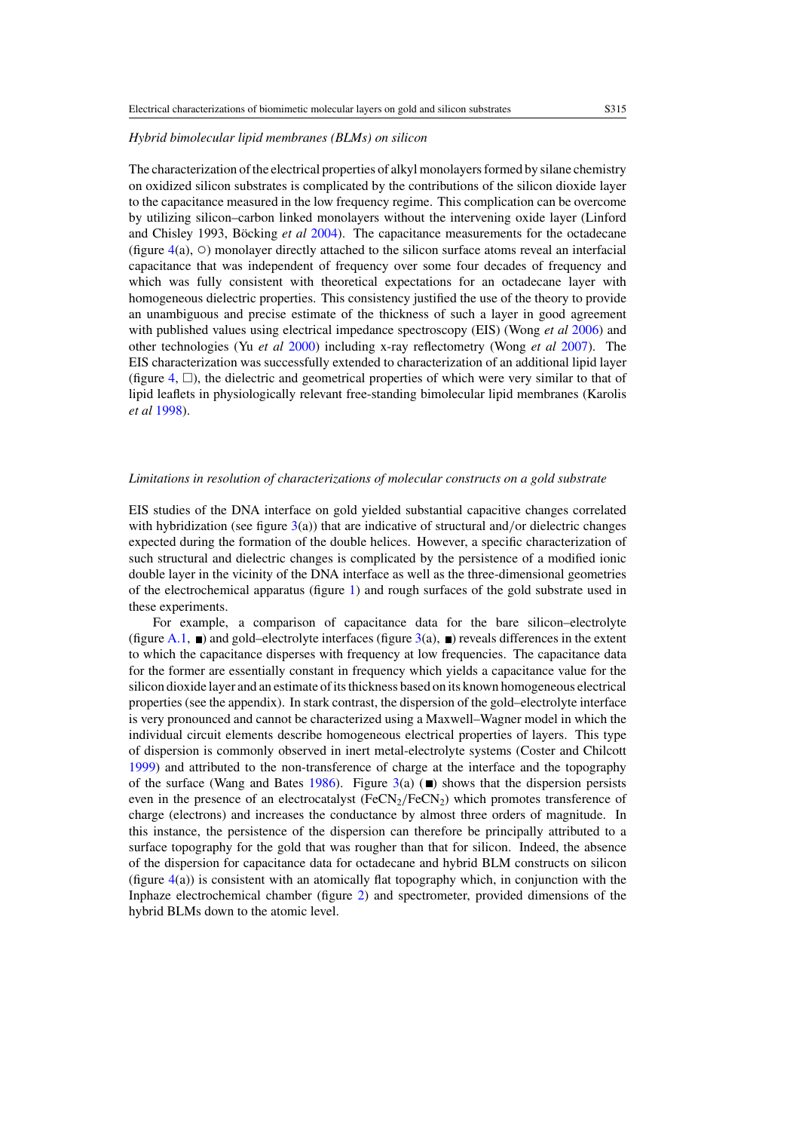#### *Hybrid bimolecular lipid membranes (BLMs) on silicon*

The characterization of the electrical properties of alkyl monolayers formed by silane chemistry on oxidized silicon substrates is complicated by the contributions of the silicon dioxide layer to the capacitance measured in the low frequency regime. This complication can be overcome by utilizing silicon–carbon linked monolayers without the intervening oxide layer (Linford and Chisley 1993, Böcking et al [2004](#page-11-0)). The capacitance measurements for the octadecane (figure  $4(a)$  $4(a)$ ,  $\circ$ ) monolayer directly attached to the silicon surface atoms reveal an interfacial capacitance that was independent of frequency over some four decades of frequency and which was fully consistent with theoretical expectations for an octadecane layer with homogeneous dielectric properties. This consistency justified the use of the theory to provide an unambiguous and precise estimate of the thickness of such a layer in good agreement with published values using electrical impedance spectroscopy (EIS) (Wong *et al* [2006\)](#page-12-0) and other technologies (Yu *et al* [2000\)](#page-12-0) including x-ray reflectometry (Wong *et al* [2007\)](#page-12-0). The EIS characterization was successfully extended to characterization of an additional lipid layer (figure  $4$ ,  $\Box$ ), the dielectric and geometrical properties of which were very similar to that of lipid leaflets in physiologically relevant free-standing bimolecular lipid membranes (Karolis *et al* [1998\)](#page-12-0).

# *Limitations in resolution of characterizations of molecular constructs on a gold substrate*

EIS studies of the DNA interface on gold yielded substantial capacitive changes correlated with hybridization (see figure [3\(](#page-5-0)a)) that are indicative of structural and/or dielectric changes expected during the formation of the double helices. However, a specific characterization of such structural and dielectric changes is complicated by the persistence of a modified ionic double layer in the vicinity of the DNA interface as well as the three-dimensional geometries of the electrochemical apparatus (figure [1\)](#page-2-0) and rough surfaces of the gold substrate used in these experiments.

For example, a comparison of capacitance data for the bare silicon–electrolyte (figure [A.1,](#page-10-0)  $\blacksquare$ ) and gold–electrolyte interfaces (figure [3\(](#page-5-0)a),  $\blacksquare$ ) reveals differences in the extent to which the capacitance disperses with frequency at low frequencies. The capacitance data for the former are essentially constant in frequency which yields a capacitance value for the silicon dioxide layer and an estimate of its thickness based on its known homogeneous electrical properties (see the appendix). In stark contrast, the dispersion of the gold–electrolyte interface is very pronounced and cannot be characterized using a Maxwell–Wagner model in which the individual circuit elements describe homogeneous electrical properties of layers. This type of dispersion is commonly observed in inert metal-electrolyte systems (Coster and Chilcott [1999\)](#page-11-0) and attributed to the non-transference of charge at the interface and the topography of the surface (Wang and Bates [1986\)](#page-12-0). Figure [3\(](#page-5-0)a) ( $\blacksquare$ ) shows that the dispersion persists even in the presence of an electrocatalyst (FeCN<sub>2</sub>/FeCN<sub>2</sub>) which promotes transference of charge (electrons) and increases the conductance by almost three orders of magnitude. In this instance, the persistence of the dispersion can therefore be principally attributed to a surface topography for the gold that was rougher than that for silicon. Indeed, the absence of the dispersion for capacitance data for octadecane and hybrid BLM constructs on silicon (figure [4\(](#page-6-0)a)) is consistent with an atomically flat topography which, in conjunction with the Inphaze electrochemical chamber (figure [2\)](#page-3-0) and spectrometer, provided dimensions of the hybrid BLMs down to the atomic level.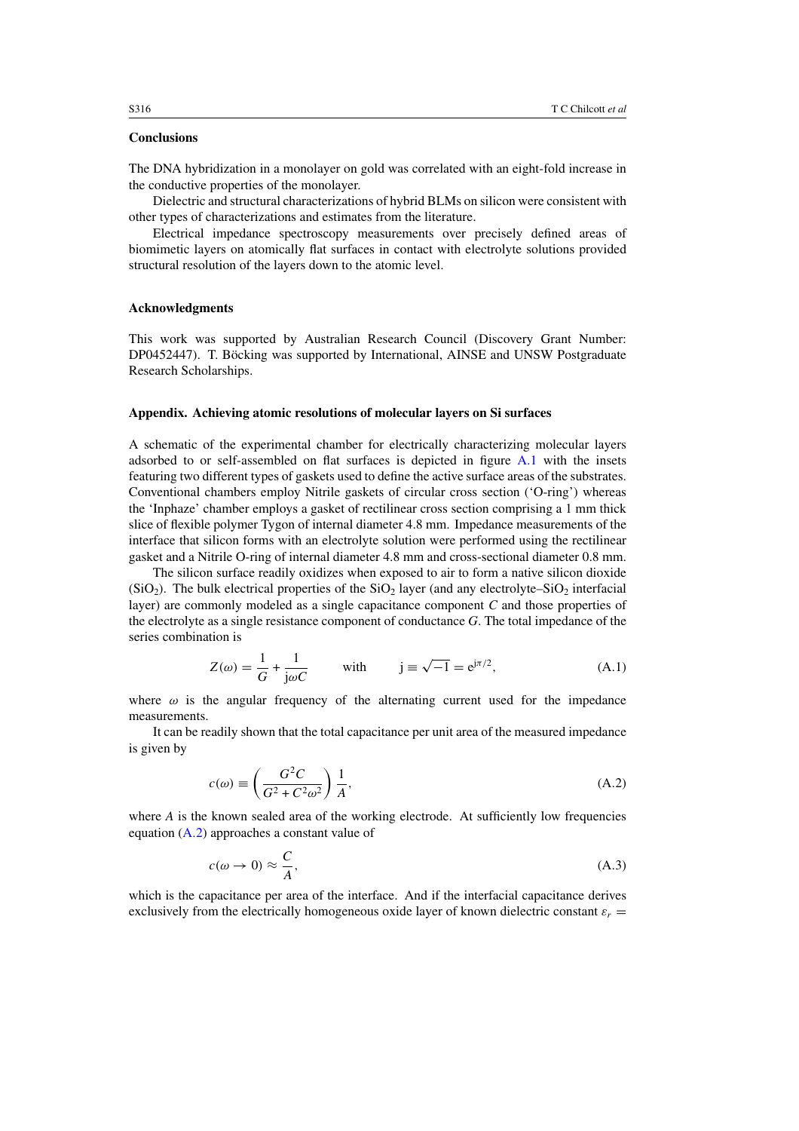# <span id="page-9-0"></span>**Conclusions**

The DNA hybridization in a monolayer on gold was correlated with an eight-fold increase in the conductive properties of the monolayer.

Dielectric and structural characterizations of hybrid BLMs on silicon were consistent with other types of characterizations and estimates from the literature.

Electrical impedance spectroscopy measurements over precisely defined areas of biomimetic layers on atomically flat surfaces in contact with electrolyte solutions provided structural resolution of the layers down to the atomic level.

#### **Acknowledgments**

This work was supported by Australian Research Council (Discovery Grant Number: DP0452447). T. Böcking was supported by International, AINSE and UNSW Postgraduate Research Scholarships.

#### **Appendix. Achieving atomic resolutions of molecular layers on Si surfaces**

A schematic of the experimental chamber for electrically characterizing molecular layers adsorbed to or self-assembled on flat surfaces is depicted in figure [A.1](#page-10-0) with the insets featuring two different types of gaskets used to define the active surface areas of the substrates. Conventional chambers employ Nitrile gaskets of circular cross section ('O-ring') whereas the 'Inphaze' chamber employs a gasket of rectilinear cross section comprising a 1 mm thick slice of flexible polymer Tygon of internal diameter 4.8 mm. Impedance measurements of the interface that silicon forms with an electrolyte solution were performed using the rectilinear gasket and a Nitrile O-ring of internal diameter 4.8 mm and cross-sectional diameter 0.8 mm.

The silicon surface readily oxidizes when exposed to air to form a native silicon dioxide (SiO<sub>2</sub>). The bulk electrical properties of the SiO<sub>2</sub> layer (and any electrolyte–SiO<sub>2</sub> interfacial layer) are commonly modeled as a single capacitance component *C* and those properties of the electrolyte as a single resistance component of conductance *G*. The total impedance of the series combination is

$$
Z(\omega) = \frac{1}{G} + \frac{1}{j\omega C} \quad \text{with} \quad j \equiv \sqrt{-1} = e^{j\pi/2}, \tag{A.1}
$$

where  $\omega$  is the angular frequency of the alternating current used for the impedance measurements.

It can be readily shown that the total capacitance per unit area of the measured impedance is given by

$$
c(\omega) \equiv \left(\frac{G^2 C}{G^2 + C^2 \omega^2}\right) \frac{1}{A},\tag{A.2}
$$

where  $A$  is the known sealed area of the working electrode. At sufficiently low frequencies equation (A*.*2) approaches a constant value of

$$
c(\omega \to 0) \approx \frac{C}{A},\tag{A.3}
$$

which is the capacitance per area of the interface. And if the interfacial capacitance derives exclusively from the electrically homogeneous oxide layer of known dielectric constant  $\varepsilon_r =$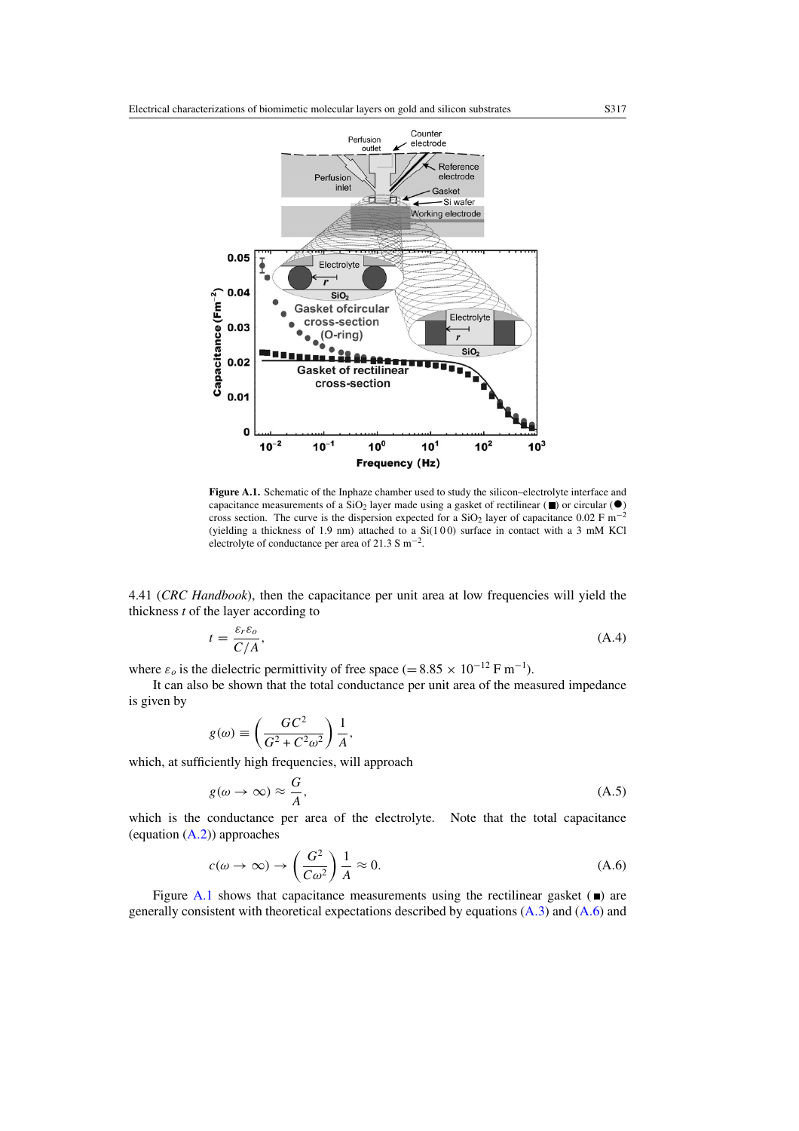<span id="page-10-0"></span>

**Figure A.1.** Schematic of the Inphaze chamber used to study the silicon–electrolyte interface and capacitance measurements of a  $SiO<sub>2</sub>$  layer made using a gasket of rectilinear ( $\blacksquare$ ) or circular ( $\blacklozenge$ ) cross section. The curve is the dispersion expected for a  $SiO<sub>2</sub>$  layer of capacitance 0.02 F m<sup>-2</sup> (yielding a thickness of 1.9 nm) attached to a  $Si(100)$  surface in contact with a 3 mM KCl electrolyte of conductance per area of 21.3 S m−2.

4.41 (*CRC Handbook*), then the capacitance per unit area at low frequencies will yield the thickness *t* of the layer according to

$$
t = \frac{\varepsilon_r \varepsilon_o}{C/A},\tag{A.4}
$$

where  $\varepsilon_o$  is the dielectric permittivity of free space (=  $8.85 \times 10^{-12}$  F m<sup>-1</sup>).

It can also be shown that the total conductance per unit area of the measured impedance is given by

$$
g(\omega) \equiv \left(\frac{GC^2}{G^2 + C^2 \omega^2}\right) \frac{1}{A},
$$

which, at sufficiently high frequencies, will approach

$$
g(\omega \to \infty) \approx \frac{G}{A},\tag{A.5}
$$

which is the conductance per area of the electrolyte. Note that the total capacitance (equation [\(A](#page-9-0)*.*2)) approaches

$$
c(\omega \to \infty) \to \left(\frac{G^2}{C\omega^2}\right) \frac{1}{A} \approx 0. \tag{A.6}
$$

Figure A.1 shows that capacitance measurements using the rectilinear gasket  $(\blacksquare)$  are generally consistent with theoretical expectations described by equations [\(A](#page-9-0)*.*3) and (A*.*6) and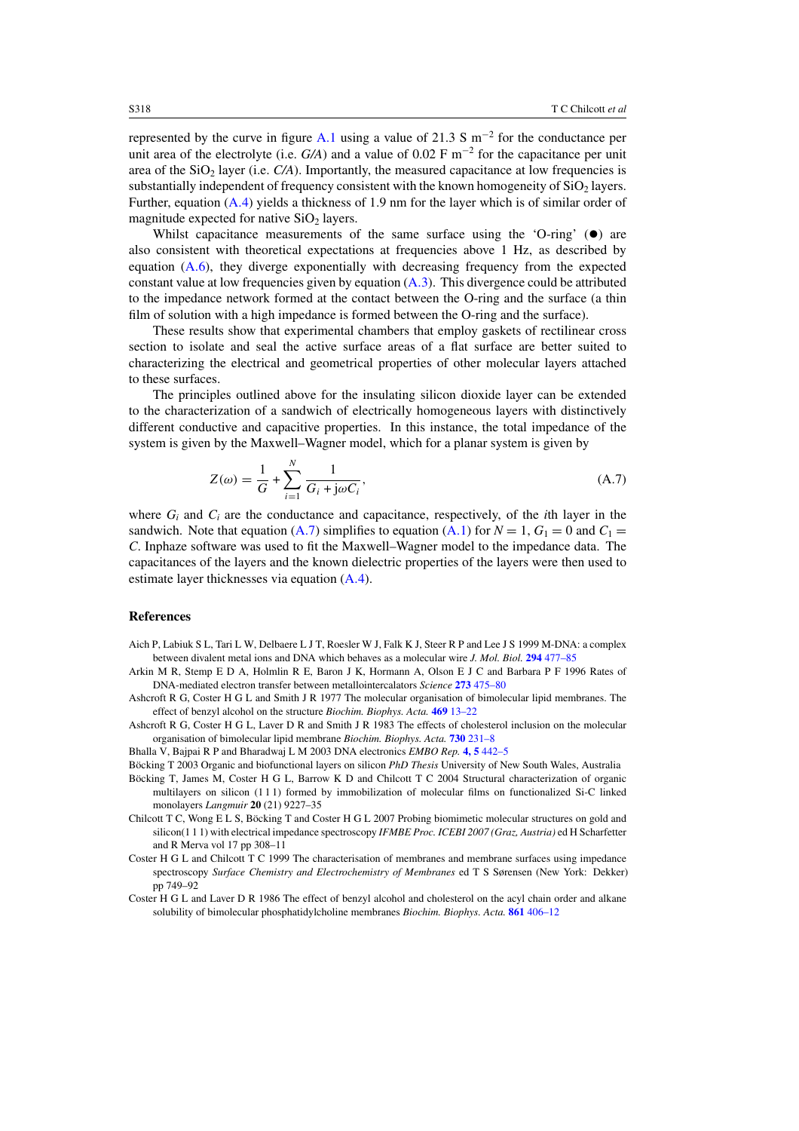<span id="page-11-0"></span>represented by the curve in figure [A.1](#page-10-0) using a value of 21.3 S  $\text{m}^{-2}$  for the conductance per unit area of the electrolyte (i.e.  $G/A$ ) and a value of 0.02 F m<sup>-2</sup> for the capacitance per unit area of the  $SiO<sub>2</sub>$  layer (i.e.  $C/A$ ). Importantly, the measured capacitance at low frequencies is substantially independent of frequency consistent with the known homogeneity of  $SiO<sub>2</sub>$  layers. Further, equation [\(A](#page-10-0)*.*4) yields a thickness of 1.9 nm for the layer which is of similar order of magnitude expected for native  $SiO<sub>2</sub>$  layers.

Whilst capacitance measurements of the same surface using the 'O-ring'  $(\bullet)$  are also consistent with theoretical expectations at frequencies above 1 Hz, as described by equation [\(A](#page-10-0)*.*6), they diverge exponentially with decreasing frequency from the expected constant value at low frequencies given by equation [\(A](#page-9-0)*.*3). This divergence could be attributed to the impedance network formed at the contact between the O-ring and the surface (a thin film of solution with a high impedance is formed between the O-ring and the surface).

These results show that experimental chambers that employ gaskets of rectilinear cross section to isolate and seal the active surface areas of a flat surface are better suited to characterizing the electrical and geometrical properties of other molecular layers attached to these surfaces.

The principles outlined above for the insulating silicon dioxide layer can be extended to the characterization of a sandwich of electrically homogeneous layers with distinctively different conductive and capacitive properties. In this instance, the total impedance of the system is given by the Maxwell–Wagner model, which for a planar system is given by

$$
Z(\omega) = \frac{1}{G} + \sum_{i=1}^{N} \frac{1}{G_i + j\omega C_i},
$$
\n(A.7)

where  $G_i$  and  $C_i$  are the conductance and capacitance, respectively, of the *i*th layer in the sandwich. Note that equation [\(A](#page-9-0).7) simplifies to equation (A.1) for  $N = 1$ ,  $G_1 = 0$  and  $C_1 =$ *C*. Inphaze software was used to fit the Maxwell–Wagner model to the impedance data. The capacitances of the layers and the known dielectric properties of the layers were then used to estimate layer thicknesses via equation [\(A](#page-10-0)*.*4).

#### **References**

- Aich P, Labiuk S L, Tari L W, Delbaere L J T, Roesler W J, Falk K J, Steer R P and Lee J S 1999 M-DNA: a complex between divalent metal ions and DNA which behaves as a molecular wire *J. Mol. Biol.* **294** [477–85](http://dx.doi.org/10.1006/jmbi.1999.3234)
- Arkin M R, Stemp E D A, Holmlin R E, Baron J K, Hormann A, Olson E J C and Barbara P F 1996 Rates of DNA-mediated electron transfer between metallointercalators *Science* **273** [475–80](http://dx.doi.org/10.1126/science.273.5274.475)
- Ashcroft R G, Coster H G L and Smith J R 1977 The molecular organisation of bimolecular lipid membranes. The effect of benzyl alcohol on the structure *Biochim. Biophys. Acta.* **469** [13–22](http://dx.doi.org/10.1016/0005-2736(77)90321-2)
- Ashcroft R G, Coster H G L, Laver D R and Smith J R 1983 The effects of cholesterol inclusion on the molecular organisation of bimolecular lipid membrane *Biochim. Biophys. Acta.* **730** [231–8](http://dx.doi.org/10.1016/0005-2736(83)90338-3)

Bhalla V, Bajpai R P and Bharadwaj L M 2003 DNA electronics *EMBO Rep.* **4, 5** [442–5](http://dx.doi.org/10.1038/sj.embor.embor834)

Böcking T 2003 Organic and biofunctional layers on silicon *PhD Thesis* University of New South Wales, Australia

- Böcking T, James M, Coster H G L, Barrow K D and Chilcott T C 2004 Structural characterization of organic multilayers on silicon (1 1 1) formed by immobilization of molecular films on functionalized Si-C linked monolayers *Langmuir* **20** (21) 9227–35
- Chilcott T C, Wong E L S, Böcking T and Coster H G L 2007 Probing biomimetic molecular structures on gold and silicon(1 1 1) with electrical impedance spectroscopy *IFMBE Proc. ICEBI 2007 (Graz, Austria)* ed H Scharfetter and R Merva vol 17 pp 308–11
- Coster H G L and Chilcott T C 1999 The characterisation of membranes and membrane surfaces using impedance spectroscopy *Surface Chemistry and Electrochemistry of Membranes* ed T S Sørensen (New York: Dekker) pp 749–92
- Coster H G L and Laver D R 1986 The effect of benzyl alcohol and cholesterol on the acyl chain order and alkane solubility of bimolecular phosphatidylcholine membranes *Biochim. Biophys. Acta.* **861** [406–12](http://dx.doi.org/10.1016/0005-2736(86)90448-7)